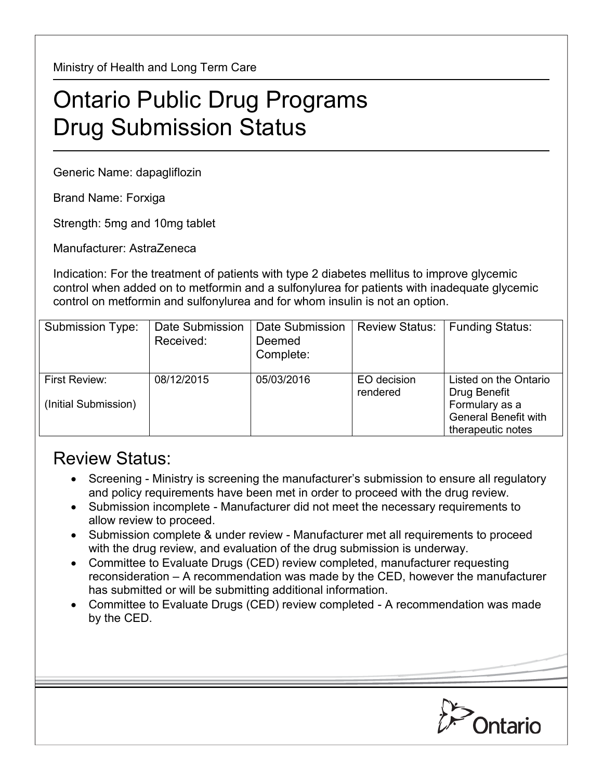Ministry of Health and Long Term Care

## Ontario Public Drug Programs Drug Submission Status

Generic Name: dapagliflozin

Brand Name: Forxiga

Strength: 5mg and 10mg tablet

Manufacturer: AstraZeneca

Indication: For the treatment of patients with type 2 diabetes mellitus to improve glycemic control when added on to metformin and a sulfonylurea for patients with inadequate glycemic control on metformin and sulfonylurea and for whom insulin is not an option.

| Submission Type:                      | Date Submission<br>Received: | Date Submission<br>Deemed<br>Complete: | <b>Review Status:</b>   | <b>Funding Status:</b>                                                                                      |
|---------------------------------------|------------------------------|----------------------------------------|-------------------------|-------------------------------------------------------------------------------------------------------------|
| First Review:<br>(Initial Submission) | 08/12/2015                   | 05/03/2016                             | EO decision<br>rendered | Listed on the Ontario<br>Drug Benefit<br>Formulary as a<br><b>General Benefit with</b><br>therapeutic notes |

## Review Status:

- Screening Ministry is screening the manufacturer's submission to ensure all regulatory and policy requirements have been met in order to proceed with the drug review.
- Submission incomplete Manufacturer did not meet the necessary requirements to allow review to proceed.
- Submission complete & under review Manufacturer met all requirements to proceed with the drug review, and evaluation of the drug submission is underway.
- Committee to Evaluate Drugs (CED) review completed, manufacturer requesting reconsideration – A recommendation was made by the CED, however the manufacturer has submitted or will be submitting additional information.
- Committee to Evaluate Drugs (CED) review completed A recommendation was made by the CED.